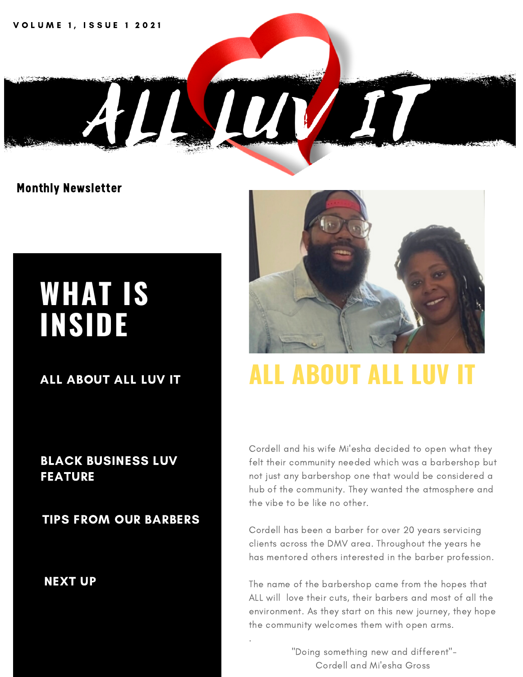**VOLUME 1, ISSUE 1 2021** 

## **WHAT IS INSIDE**

Monthly Newsletter

ALL ABOUT ALL LUV IT

#### BLACK BUSINESS LUV FEATURE

TIPS FROM OUR BARBERS

NEXT UP



### **ALL ABOUT ALL LU**

Cordell and his wife Mi'esha decided to open what they felt their community needed which was a barbershop but not just any barbershop one that would be considered a hub of the community. They wanted the atmosphere and the vibe to be like no other.

Cordell has been a barber for over 20 years servicing clients across the DMV area. Throughout the years he has mentored others interested in the barber profession.

The name of the barbershop came from the hopes that ALL will love their cuts, their barbers and most of all the environment. As they start on this new journey, they hope the community welcomes them with open arms.

> "Doing something new and different"- Cordell and Mi'esha Gross

.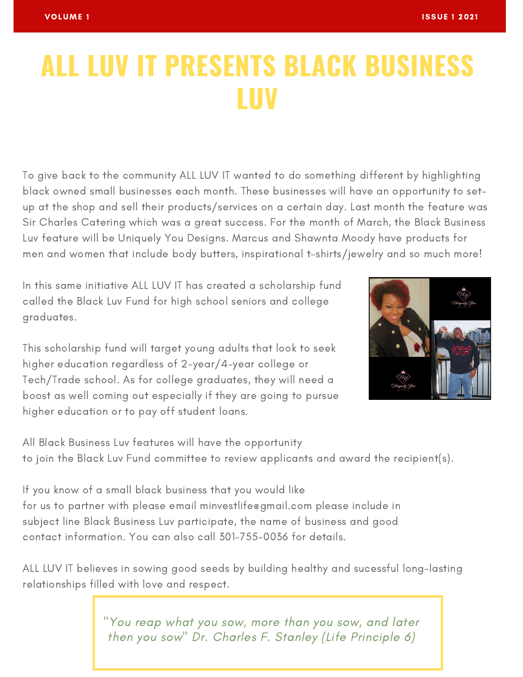### **ALL LUV IT PRESENTS BLACK BUSINESS LUV**

To give back to the community ALL LUV IT wanted to do something different by highlighting black owned small businesses each month. These businesses will have an opportunity to setup at the shop and sell their products/services on a certain day. Last month the feature was Sir Charles Catering which was a great success. For the month of March, the Black Business Luv feature will be Uniquely You Designs. Marcus and Shawnta Moody have products for men and women that include body butters, inspirational t-shirts/jewelry and so much more!

In this same initiative ALL LUV IT has created a scholarship fund called the Black Luv Fund for high school seniors and college graduates.

This scholarship fund will target young adults that look to seek higher education regardless of 2-year/4-year college or Tech/Trade school. As for college graduates, they will need a boost as well coming out especially if they are going to pursue higher education or to pay off student loans.



All Black Business Luv features will have the opportunity to join the Black Luv Fund committee to review applicants and award the recipient(s).

If you know of a small black business that you would like for us to partner with please email minvestlife@gmail.com please include in subject line Black Business Luv participate, the name of business and good contact information. You can also call 301-755-0036 for details.

ALL LUV IT believes in sowing good seeds by building healthy and sucessful long-lasting relationships filled with love and respect.

> "You reap what you sow, more than you sow, and later then you sow" Dr. Charles F. Stanley (Life Principle 6)